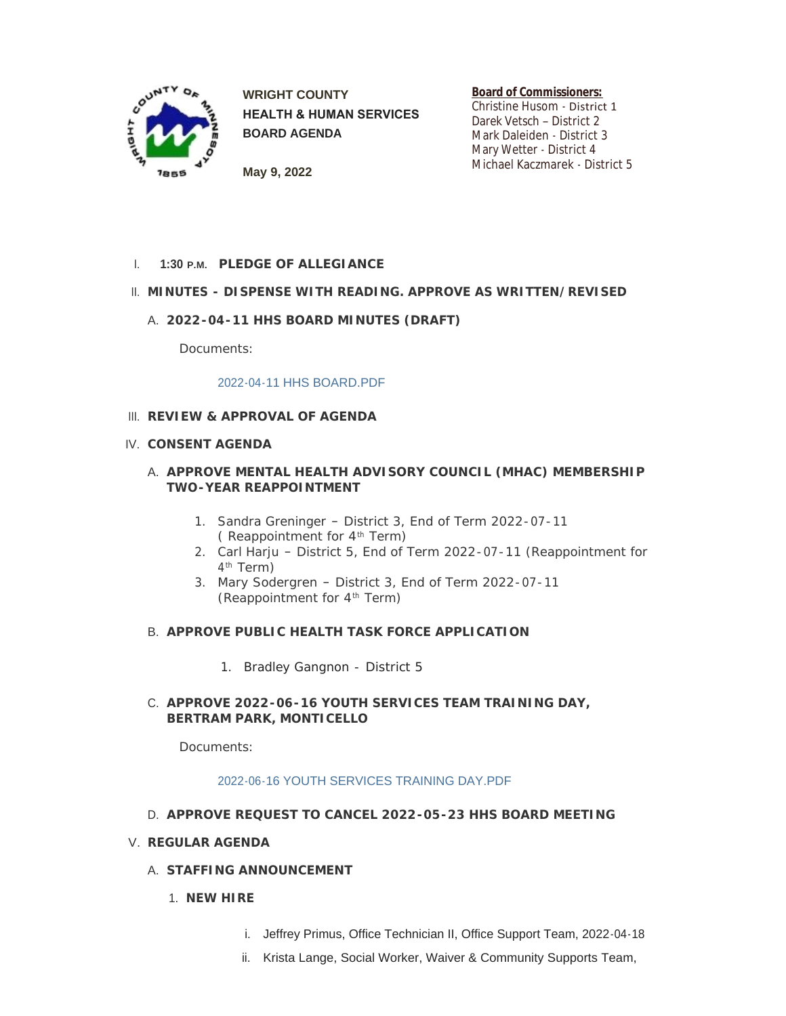

**WRIGHT COUNTY HEALTH & HUMAN SERVICES BOARD AGENDA**

**Board of Commissioners:**

Christine Husom - District 1 Darek Vetsch – District 2 Mark Daleiden - District 3 Mary Wetter - District 4 Michael Kaczmarek - District 5

**May 9, 2022**

**PLEDGE OF ALLEGIANCE** I. **1:30 P.M.**

# **MINUTES - DISPENSE WITH READING. APPROVE AS WRITTEN/REVISED** II.

**2022-04-11 HHS BOARD MINUTES (DRAFT)** A.

Documents:

#### [2022-04-11 HHS BOARD.PDF](https://www.co.wright.mn.us/AgendaCenter/ViewFile/Item/10660?fileID=23098)

### **REVIEW & APPROVAL OF AGENDA** III.

### **CONSENT AGENDA** IV.

## **APPROVE MENTAL HEALTH ADVISORY COUNCIL (MHAC) MEMBERSHIP**  A. **TWO-YEAR REAPPOINTMENT**

- 1. Sandra Greninger District 3, End of Term 2022-07-11 (Reappointment for  $4^{\text{th}}$  Term)
- 2. Carl Harju District 5, End of Term 2022-07-11 (Reappointment for 4<sup>th</sup> Term)
- 3. Mary Sodergren District 3, End of Term 2022-07-11 (Reappointment for  $4^{\text{th}}$  Term)

#### **APPROVE PUBLIC HEALTH TASK FORCE APPLICATION** B.

1. Bradley Gangnon - District 5

#### **APPROVE 2022-06-16 YOUTH SERVICES TEAM TRAINING DAY,**  C. **BERTRAM PARK, MONTICELLO**

Documents:

#### [2022-06-16 YOUTH SERVICES TRAINING DAY.PDF](https://www.co.wright.mn.us/AgendaCenter/ViewFile/Item/10643?fileID=23089)

**APPROVE REQUEST TO CANCEL 2022-05-23 HHS BOARD MEETING** D.

#### **REGULAR AGENDA** V.

- **STAFFING ANNOUNCEMENT** A.
	- **NEW HIRE** 1.
		- i. Jeffrey Primus, Office Technician II, Office Support Team, 2022-04-18
		- ii. Krista Lange, Social Worker, Waiver & Community Supports Team,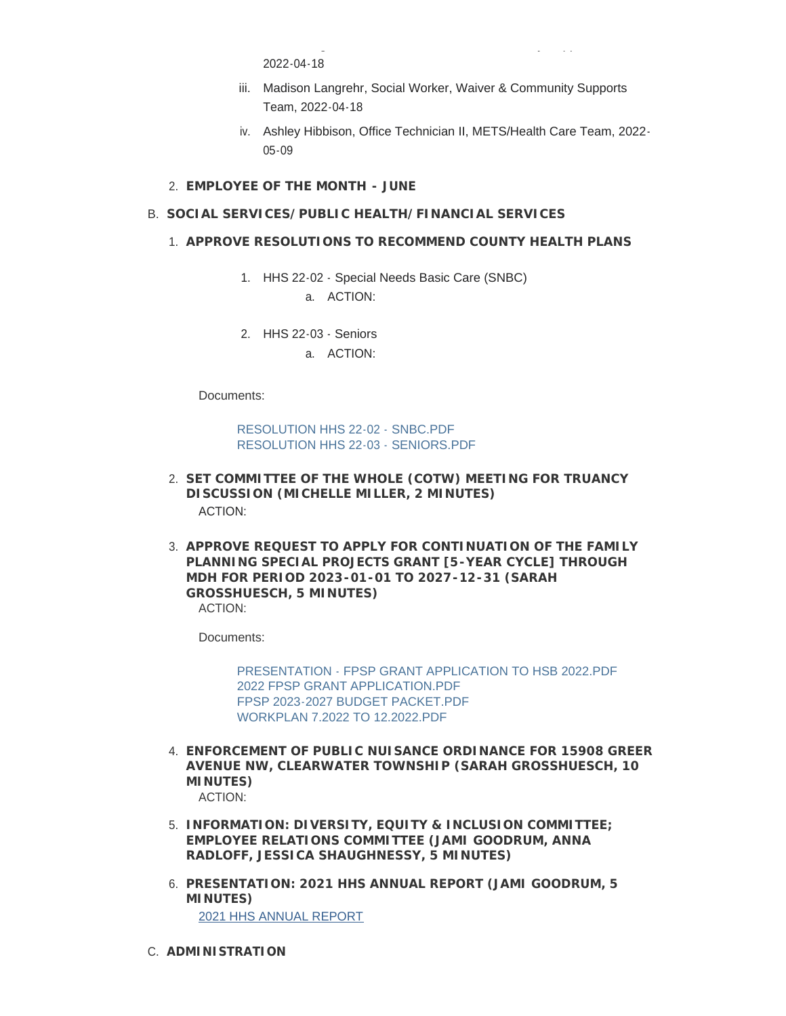2022-04-18

iii. Madison Langrehr, Social Worker, Waiver & Community Supports Team, 2022-04-18

ii. Krista Lange, Social Worker, Waiver & Community Supports Team,

- iv. Ashley Hibbison, Office Technician II, METS/Health Care Team, 2022- 05-09
- **EMPLOYEE OF THE MONTH JUNE** 2.

### **SOCIAL SERVICES/PUBLIC HEALTH/FINANCIAL SERVICES** B.

- **APPROVE RESOLUTIONS TO RECOMMEND COUNTY HEALTH PLANS** 1.
	- 1. HHS 22-02 Special Needs Basic Care (SNBC) a. ACTION:
	- 2. HHS 22-03 Seniors
		- a. ACTION:

Documents:

[RESOLUTION HHS 22-02 - SNBC.PDF](https://www.co.wright.mn.us/AgendaCenter/ViewFile/Item/10666?fileID=23102) [RESOLUTION HHS 22-03 - SENIORS.PDF](https://www.co.wright.mn.us/AgendaCenter/ViewFile/Item/10666?fileID=23101)

- **SET COMMITTEE OF THE WHOLE (COTW) MEETING FOR TRUANCY**  2. **DISCUSSION (MICHELLE MILLER, 2 MINUTES)** ACTION:
- **APPROVE REQUEST TO APPLY FOR CONTINUATION OF THE FAMILY**  3. **PLANNING SPECIAL PROJECTS GRANT [5-YEAR CYCLE] THROUGH MDH FOR PERIOD 2023-01-01 TO 2027-12-31 (SARAH GROSSHUESCH, 5 MINUTES)** ACTION:

Documents:

[PRESENTATION - FPSP GRANT APPLICATION TO HSB 2022.PDF](https://www.co.wright.mn.us/AgendaCenter/ViewFile/Item/10647?fileID=23104) [2022 FPSP GRANT APPLICATION.PDF](https://www.co.wright.mn.us/AgendaCenter/ViewFile/Item/10647?fileID=23090) [FPSP 2023-2027 BUDGET PACKET.PDF](https://www.co.wright.mn.us/AgendaCenter/ViewFile/Item/10647?fileID=23091) [WORKPLAN 7.2022 TO 12.2022.PDF](https://www.co.wright.mn.us/AgendaCenter/ViewFile/Item/10647?fileID=23092)

- **ENFORCEMENT OF PUBLIC NUISANCE ORDINANCE FOR 15908 GREER**  4. **AVENUE NW, CLEARWATER TOWNSHIP (SARAH GROSSHUESCH, 10 MINUTES)** ACTION:
- **INFORMATION: DIVERSITY, EQUITY & INCLUSION COMMITTEE;**  5. **EMPLOYEE RELATIONS COMMITTEE (JAMI GOODRUM, ANNA RADLOFF, JESSICA SHAUGHNESSY, 5 MINUTES)**
- **PRESENTATION: 2021 HHS ANNUAL REPORT (JAMI GOODRUM, 5**  6. **MINUTES)** [2021 HHS ANNUAL REPORT](https://www.co.wright.mn.us/DocumentCenter/View/25898/2021-HHS-Annual-Report)
- **ADMINISTRATION** C.